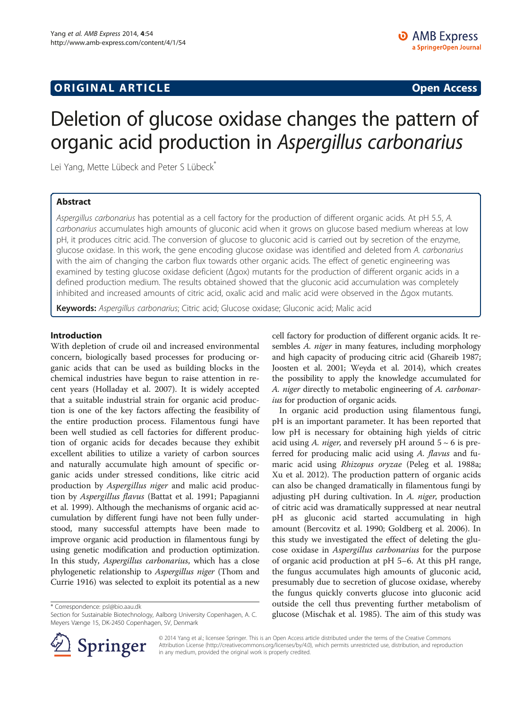## **ORIGINAL ARTICLE CONSUMING A LIGACION CONSUMING A LIGACION CONSUMING A LIGACION**

# Deletion of glucose oxidase changes the pattern of organic acid production in Aspergillus carbonarius

Lei Yang, Mette Lübeck and Peter S Lübeck\*

## Abstract

Aspergillus carbonarius has potential as a cell factory for the production of different organic acids. At pH 5.5, A. carbonarius accumulates high amounts of gluconic acid when it grows on glucose based medium whereas at low pH, it produces citric acid. The conversion of glucose to gluconic acid is carried out by secretion of the enzyme, glucose oxidase. In this work, the gene encoding glucose oxidase was identified and deleted from A. carbonarius with the aim of changing the carbon flux towards other organic acids. The effect of genetic engineering was examined by testing glucose oxidase deficient (Δgox) mutants for the production of different organic acids in a defined production medium. The results obtained showed that the gluconic acid accumulation was completely inhibited and increased amounts of citric acid, oxalic acid and malic acid were observed in the Δgox mutants.

Keywords: Aspergillus carbonarius; Citric acid; Glucose oxidase; Gluconic acid; Malic acid

#### Introduction

With depletion of crude oil and increased environmental concern, biologically based processes for producing organic acids that can be used as building blocks in the chemical industries have begun to raise attention in recent years (Holladay et al. [2007\)](#page-7-0). It is widely accepted that a suitable industrial strain for organic acid production is one of the key factors affecting the feasibility of the entire production process. Filamentous fungi have been well studied as cell factories for different production of organic acids for decades because they exhibit excellent abilities to utilize a variety of carbon sources and naturally accumulate high amount of specific organic acids under stressed conditions, like citric acid production by Aspergillus niger and malic acid production by Aspergillus flavus (Battat et al. [1991](#page-7-0); Papagianni et al. [1999](#page-7-0)). Although the mechanisms of organic acid accumulation by different fungi have not been fully understood, many successful attempts have been made to improve organic acid production in filamentous fungi by using genetic modification and production optimization. In this study, Aspergillus carbonarius, which has a close phylogenetic relationship to Aspergillus niger (Thom and Currie [1916\)](#page-8-0) was selected to exploit its potential as a new

\* Correspondence: [psl@bio.aau.dk](mailto:psl@bio.aau.dk)



In organic acid production using filamentous fungi, pH is an important parameter. It has been reported that low pH is necessary for obtaining high yields of citric acid using A. *niger*, and reversely pH around  $5 \sim 6$  is preferred for producing malic acid using A. flavus and fumaric acid using Rhizopus oryzae (Peleg et al. [1988a](#page-8-0); Xu et al. [2012](#page-8-0)). The production pattern of organic acids can also be changed dramatically in filamentous fungi by adjusting pH during cultivation. In A. niger, production of citric acid was dramatically suppressed at near neutral pH as gluconic acid started accumulating in high amount (Bercovitz et al. [1990;](#page-7-0) Goldberg et al. [2006\)](#page-7-0). In this study we investigated the effect of deleting the glucose oxidase in Aspergillus carbonarius for the purpose of organic acid production at pH 5–6. At this pH range, the fungus accumulates high amounts of gluconic acid, presumably due to secretion of glucose oxidase, whereby the fungus quickly converts glucose into gluconic acid outside the cell thus preventing further metabolism of glucose (Mischak et al. [1985](#page-7-0)). The aim of this study was



© 2014 Yang et al.; licensee Springer. This is an Open Access article distributed under the terms of the Creative Commons Attribution License [\(http://creativecommons.org/licenses/by/4.0\)](http://creativecommons.org/licenses/by/4.0), which permits unrestricted use, distribution, and reproduction in any medium, provided the original work is properly credited.

Section for Sustainable Biotechnology, Aalborg University Copenhagen, A. C. Meyers Vænge 15, DK-2450 Copenhagen, SV, Denmark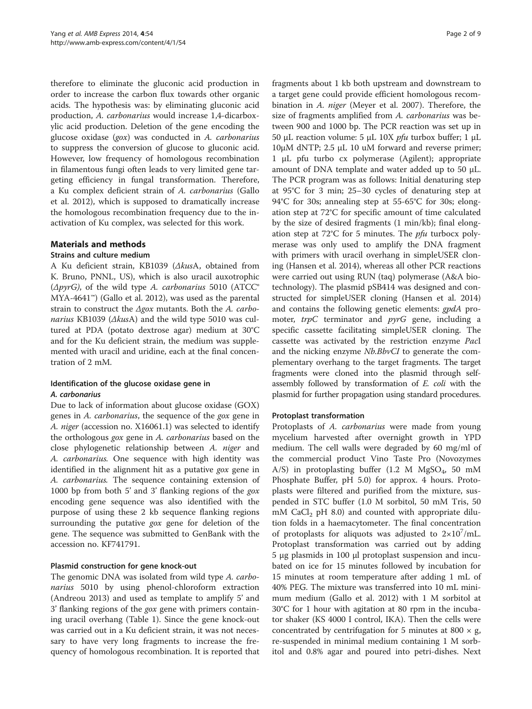therefore to eliminate the gluconic acid production in order to increase the carbon flux towards other organic acids. The hypothesis was: by eliminating gluconic acid production, A. carbonarius would increase 1,4-dicarboxylic acid production. Deletion of the gene encoding the glucose oxidase (gox) was conducted in A. carbonarius to suppress the conversion of glucose to gluconic acid. However, low frequency of homologous recombination in filamentous fungi often leads to very limited gene targeting efficiency in fungal transformation. Therefore, a Ku complex deficient strain of A. carbonarius (Gallo et al. [2012](#page-7-0)), which is supposed to dramatically increase the homologous recombination frequency due to the inactivation of Ku complex, was selected for this work.

#### Materials and methods

#### Strains and culture medium

A Ku deficient strain, KB1039 (ΔkusA, obtained from K. Bruno, PNNL, US), which is also uracil auxotrophic ( $\Delta pyrG$ ), of the wild type A. carbonarius 5010 (ATCC<sup>®</sup> MYA-4641™) (Gallo et al. [2012](#page-7-0)), was used as the parental strain to construct the  $\Delta g \circ x$  mutants. Both the A. carbonarius KB1039 ( $\Delta$ kusA) and the wild type 5010 was cultured at PDA (potato dextrose agar) medium at 30°C and for the Ku deficient strain, the medium was supplemented with uracil and uridine, each at the final concentration of 2 mM.

## Identification of the glucose oxidase gene in A. carbonarius

Due to lack of information about glucose oxidase (GOX) genes in A. carbonarius, the sequence of the gox gene in A. niger (accession no. X16061.1) was selected to identify the orthologous gox gene in A. carbonarius based on the close phylogenetic relationship between A. niger and A. carbonarius. One sequence with high identity was identified in the alignment hit as a putative gox gene in A. carbonarius. The sequence containing extension of 1000 bp from both 5' and 3' flanking regions of the gox encoding gene sequence was also identified with the purpose of using these 2 kb sequence flanking regions surrounding the putative gox gene for deletion of the gene. The sequence was submitted to GenBank with the accession no. KF741791.

#### Plasmid construction for gene knock-out

The genomic DNA was isolated from wild type A. carbonarius 5010 by using phenol-chloroform extraction (Andreou [2013](#page-7-0)) and used as template to amplify 5' and 3' flanking regions of the gox gene with primers containing uracil overhang (Table [1\)](#page-2-0). Since the gene knock-out was carried out in a Ku deficient strain, it was not necessary to have very long fragments to increase the frequency of homologous recombination. It is reported that

fragments about 1 kb both upstream and downstream to a target gene could provide efficient homologous recombination in A. niger (Meyer et al. [2007\)](#page-7-0). Therefore, the size of fragments amplified from A. carbonarius was between 900 and 1000 bp. The PCR reaction was set up in 50 μL reaction volume: 5 μL 10X *pfu* turbox buffer; 1 μL 10μM dNTP; 2.5 μL 10 uM forward and reverse primer; 1 μL pfu turbo cx polymerase (Agilent); appropriate amount of DNA template and water added up to 50 μL. The PCR program was as follows: Initial denaturing step at 95°C for 3 min; 25–30 cycles of denaturing step at 94°C for 30s; annealing step at 55-65°C for 30s; elongation step at 72°C for specific amount of time calculated by the size of desired fragments (1 min/kb); final elongation step at 72°C for 5 minutes. The pfu turbocx polymerase was only used to amplify the DNA fragment with primers with uracil overhang in simpleUSER cloning (Hansen et al. [2014](#page-7-0)), whereas all other PCR reactions were carried out using RUN (taq) polymerase (A&A biotechnology). The plasmid pSB414 was designed and constructed for simpleUSER cloning (Hansen et al. [2014](#page-7-0)) and contains the following genetic elements: gpdA promoter, trpC terminator and pyrG gene, including a specific cassette facilitating simpleUSER cloning. The cassette was activated by the restriction enzyme PacI and the nicking enzyme Nb.BbvCI to generate the complementary overhang to the target fragments. The target fragments were cloned into the plasmid through selfassembly followed by transformation of E. coli with the plasmid for further propagation using standard procedures.

#### Protoplast transformation

Protoplasts of A. carbonarius were made from young mycelium harvested after overnight growth in YPD medium. The cell walls were degraded by 60 mg/ml of the commercial product Vino Taste Pro (Novozymes A/S) in protoplasting buffer (1.2 M  $MgSO<sub>4</sub>$ , 50 mM Phosphate Buffer, pH 5.0) for approx. 4 hours. Protoplasts were filtered and purified from the mixture, suspended in STC buffer (1.0 M sorbitol, 50 mM Tris, 50  $mM$  CaCl<sub>2</sub> pH 8.0) and counted with appropriate dilution folds in a haemacytometer. The final concentration of protoplasts for aliquots was adjusted to  $2\times10^7$ /mL. Protoplast transformation was carried out by adding 5 μg plasmids in 100 μl protoplast suspension and incubated on ice for 15 minutes followed by incubation for 15 minutes at room temperature after adding 1 mL of 40% PEG. The mixture was transferred into 10 mL minimum medium (Gallo et al. [2012](#page-7-0)) with 1 M sorbitol at 30°C for 1 hour with agitation at 80 rpm in the incubator shaker (KS 4000 I control, IKA). Then the cells were concentrated by centrifugation for 5 minutes at 800  $\times$  g, re-suspended in minimal medium containing 1 M sorbitol and 0.8% agar and poured into petri-dishes. Next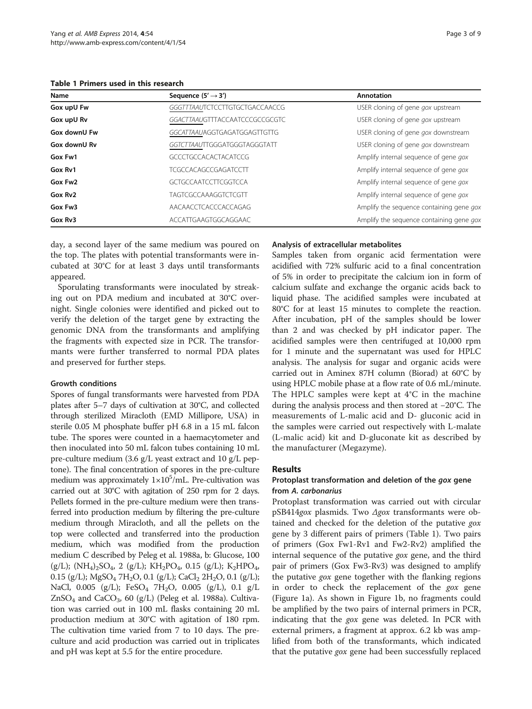<span id="page-2-0"></span>Table 1 Primers used in this research

| Name                | Sequence $(5' \rightarrow 3')$ | Annotation                               |
|---------------------|--------------------------------|------------------------------------------|
| Gox upU Fw          | GGGTTTAAUTCTCCTTGTGCTGACCAACCG | USER cloning of gene gox upstream        |
| Gox upU Rv          | GGACTTAAUGTTTACCAATCCCGCCGCGTC | USER cloning of gene gox upstream        |
| Gox downU Fw        | GGCATTAAUAGGTGAGATGGAGTTGTTG   | USER cloning of gene gox downstream      |
| Gox downU Rv        | GGTCTTAAUTTGGGATGGGTAGGGTATT   | USER cloning of gene gox downstream      |
| Gox Fw1             | GCCCTGCCACACTACATCCG           | Amplify internal sequence of gene gox    |
| Gox Rv1             | <b>TCGCCACAGCCGAGATCCTT</b>    | Amplify internal sequence of gene gox    |
| Gox Fw2             | GCTGCCAATCCTTCGGTCCA           | Amplify internal sequence of gene gox    |
| Gox Rv <sub>2</sub> | <b>TAGTCGCCAAAGGTCTCGTT</b>    | Amplify internal sequence of gene gox    |
| Gox Fw3             | AACAACCTCACCCACCAGAG           | Amplify the sequence containing gene gox |
| Gox Rv3             | ACCATTGAAGTGGCAGGAAC           | Amplify the sequence containing gene gox |

day, a second layer of the same medium was poured on the top. The plates with potential transformants were incubated at 30°C for at least 3 days until transformants appeared.

Sporulating transformants were inoculated by streaking out on PDA medium and incubated at 30°C overnight. Single colonies were identified and picked out to verify the deletion of the target gene by extracting the genomic DNA from the transformants and amplifying the fragments with expected size in PCR. The transformants were further transferred to normal PDA plates and preserved for further steps.

#### Growth conditions

Spores of fungal transformants were harvested from PDA plates after 5–7 days of cultivation at 30°C, and collected through sterilized Miracloth (EMD Millipore, USA) in sterile 0.05 M phosphate buffer pH 6.8 in a 15 mL falcon tube. The spores were counted in a haemacytometer and then inoculated into 50 mL falcon tubes containing 10 mL pre-culture medium (3.6 g/L yeast extract and 10 g/L peptone). The final concentration of spores in the pre-culture medium was approximately  $1\times10^5$ /mL. Pre-cultivation was carried out at 30°C with agitation of 250 rpm for 2 days. Pellets formed in the pre-culture medium were then transferred into production medium by filtering the pre-culture medium through Miracloth, and all the pellets on the top were collected and transferred into the production medium, which was modified from the production medium C described by Peleg et al. [1988a](#page-8-0), [b](#page-8-0): Glucose, 100  $(g/L)$ ; (NH<sub>4</sub>)<sub>2</sub>SO<sub>4</sub>, 2 (g/L); KH<sub>2</sub>PO<sub>4</sub>, 0.15 (g/L); K<sub>2</sub>HPO<sub>4</sub>, 0.15 (g/L);  $MgSO_4$  7H<sub>2</sub>O, 0.1 (g/L); CaCl<sub>2</sub> 2H<sub>2</sub>O, 0.1 (g/L); NaCl, 0.005 (g/L); FeSO<sub>4</sub> 7H<sub>2</sub>O, 0.005 (g/L), 0.1 g/L  $ZnSO_4$  and  $CaCO_3$ , 60 (g/L) (Peleg et al. [1988a](#page-8-0)). Cultivation was carried out in 100 mL flasks containing 20 mL production medium at 30°C with agitation of 180 rpm. The cultivation time varied from 7 to 10 days. The preculture and acid production was carried out in triplicates and pH was kept at 5.5 for the entire procedure.

#### Analysis of extracellular metabolites

Samples taken from organic acid fermentation were acidified with 72% sulfuric acid to a final concentration of 5% in order to precipitate the calcium ion in form of calcium sulfate and exchange the organic acids back to liquid phase. The acidified samples were incubated at 80°C for at least 15 minutes to complete the reaction. After incubation, pH of the samples should be lower than 2 and was checked by pH indicator paper. The acidified samples were then centrifuged at 10,000 rpm for 1 minute and the supernatant was used for HPLC analysis. The analysis for sugar and organic acids were carried out in Aminex 87H column (Biorad) at 60°C by using HPLC mobile phase at a flow rate of 0.6 mL/minute. The HPLC samples were kept at 4°C in the machine during the analysis process and then stored at −20°C. The measurements of L-malic acid and D- gluconic acid in the samples were carried out respectively with L-malate (L-malic acid) kit and D-gluconate kit as described by the manufacturer (Megazyme).

#### Results

## Protoplast transformation and deletion of the gox gene from A. carbonarius

Protoplast transformation was carried out with circular pSB414gox plasmids. Two Δgox transformants were obtained and checked for the deletion of the putative gox gene by 3 different pairs of primers (Table 1). Two pairs of primers (Gox Fw1-Rv1 and Fw2-Rv2) amplified the internal sequence of the putative gox gene, and the third pair of primers (Gox Fw3-Rv3) was designed to amplify the putative gox gene together with the flanking regions in order to check the replacement of the *gox* gene (Figure [1](#page-3-0)a). As shown in Figure [1](#page-3-0)b, no fragments could be amplified by the two pairs of internal primers in PCR, indicating that the gox gene was deleted. In PCR with external primers, a fragment at approx. 6.2 kb was amplified from both of the transformants, which indicated that the putative gox gene had been successfully replaced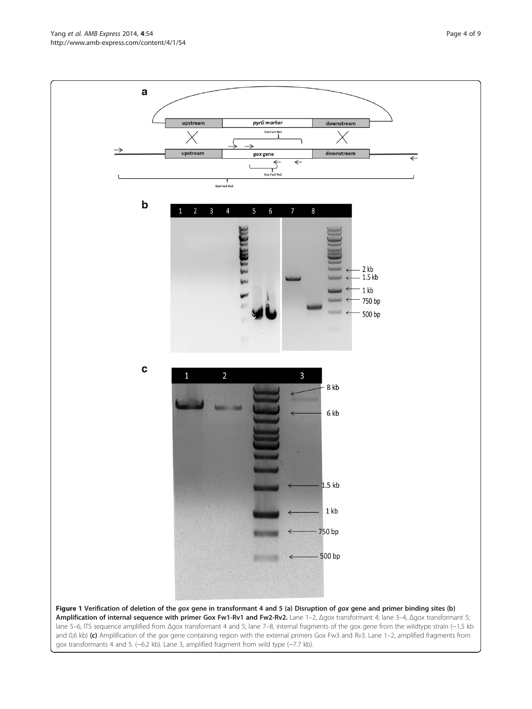<span id="page-3-0"></span>Yang et al. AMB Express 2014, <sup>4</sup>:54 Page 4 of 9 http://www.amb-express.com/content/4/1/54



gox transformants 4 and 5. (~6.2 kb). Lane 3, amplified fragment from wild type (~7.7 kb).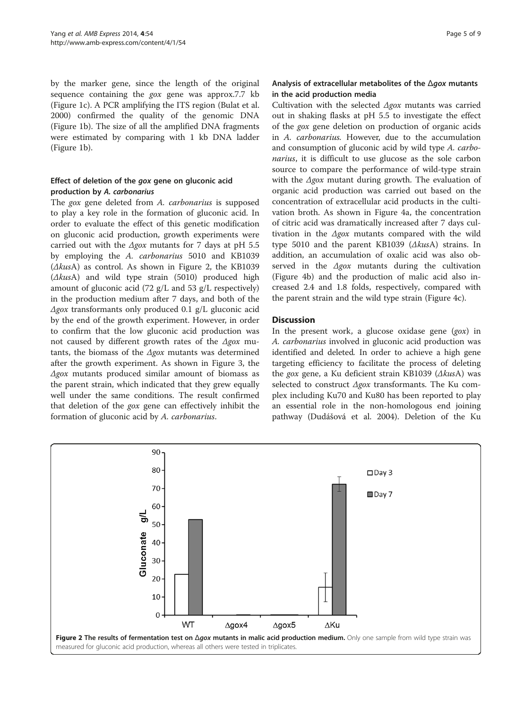by the marker gene, since the length of the original sequence containing the *gox* gene was approx.7.7 kb (Figure [1](#page-3-0)c). A PCR amplifying the ITS region (Bulat et al. [2000](#page-7-0)) confirmed the quality of the genomic DNA (Figure [1b](#page-3-0)). The size of all the amplified DNA fragments were estimated by comparing with 1 kb DNA ladder (Figure [1](#page-3-0)b).

## Effect of deletion of the gox gene on gluconic acid production by A. carbonarius

The gox gene deleted from A. carbonarius is supposed to play a key role in the formation of gluconic acid. In order to evaluate the effect of this genetic modification on gluconic acid production, growth experiments were carried out with the  $\Delta g$ ox mutants for 7 days at pH 5.5 by employing the A. carbonarius 5010 and KB1039  $(\Delta kusA)$  as control. As shown in Figure 2, the KB1039  $(\Delta kusA)$  and wild type strain (5010) produced high amount of gluconic acid (72 g/L and 53 g/L respectively) in the production medium after 7 days, and both of the Δgox transformants only produced 0.1 g/L gluconic acid by the end of the growth experiment. However, in order to confirm that the low gluconic acid production was not caused by different growth rates of the Δgox mutants, the biomass of the  $\Delta g \alpha x$  mutants was determined after the growth experiment. As shown in Figure [3,](#page-5-0) the Δgox mutants produced similar amount of biomass as the parent strain, which indicated that they grew equally well under the same conditions. The result confirmed that deletion of the gox gene can effectively inhibit the formation of gluconic acid by A. carbonarius.

### Analysis of extracellular metabolites of the <sup>Δ</sup>gox mutants in the acid production media

Cultivation with the selected Δgox mutants was carried out in shaking flasks at pH 5.5 to investigate the effect of the gox gene deletion on production of organic acids in A. carbonarius. However, due to the accumulation and consumption of gluconic acid by wild type A. carbonarius, it is difficult to use glucose as the sole carbon source to compare the performance of wild-type strain with the Δgox mutant during growth. The evaluation of organic acid production was carried out based on the concentration of extracellular acid products in the cultivation broth. As shown in Figure [4](#page-6-0)a, the concentration of citric acid was dramatically increased after 7 days cultivation in the  $\Delta \varrho$  mutants compared with the wild type 5010 and the parent KB1039 ( $\Delta k$ usA) strains. In addition, an accumulation of oxalic acid was also observed in the  $\Delta g \circ x$  mutants during the cultivation (Figure [4b](#page-6-0)) and the production of malic acid also increased 2.4 and 1.8 folds, respectively, compared with the parent strain and the wild type strain (Figure [4c](#page-6-0)).

#### **Discussion**

In the present work, a glucose oxidase gene (gox) in A. carbonarius involved in gluconic acid production was identified and deleted. In order to achieve a high gene targeting efficiency to facilitate the process of deleting the gox gene, a Ku deficient strain KB1039 ( $\Delta kus$ A) was selected to construct Δgox transformants. The Ku complex including Ku70 and Ku80 has been reported to play an essential role in the non-homologous end joining pathway (Dudášová et al. [2004\)](#page-7-0). Deletion of the Ku

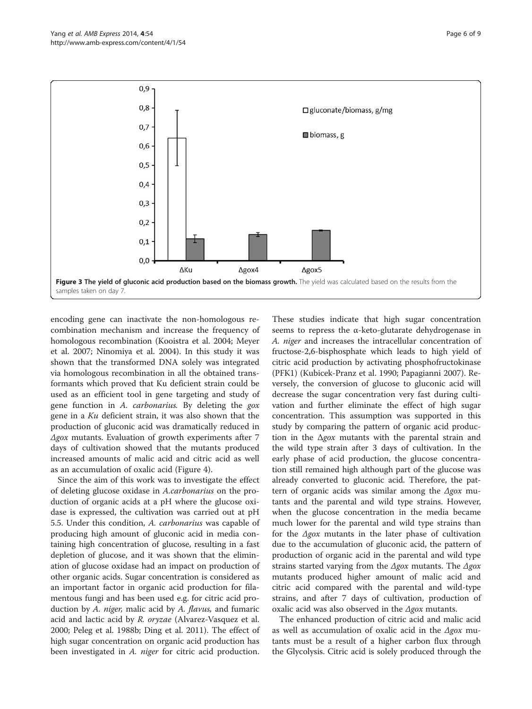<span id="page-5-0"></span>

encoding gene can inactivate the non-homologous recombination mechanism and increase the frequency of homologous recombination (Kooistra et al. [2004;](#page-7-0) Meyer et al. [2007;](#page-7-0) Ninomiya et al. [2004](#page-7-0)). In this study it was shown that the transformed DNA solely was integrated via homologous recombination in all the obtained transformants which proved that Ku deficient strain could be used as an efficient tool in gene targeting and study of gene function in A. carbonarius. By deleting the gox gene in a Ku deficient strain, it was also shown that the production of gluconic acid was dramatically reduced in Δgox mutants. Evaluation of growth experiments after 7 days of cultivation showed that the mutants produced increased amounts of malic acid and citric acid as well as an accumulation of oxalic acid (Figure [4\)](#page-6-0).

Since the aim of this work was to investigate the effect of deleting glucose oxidase in A.carbonarius on the production of organic acids at a pH where the glucose oxidase is expressed, the cultivation was carried out at pH 5.5. Under this condition, A. carbonarius was capable of producing high amount of gluconic acid in media containing high concentration of glucose, resulting in a fast depletion of glucose, and it was shown that the elimination of glucose oxidase had an impact on production of other organic acids. Sugar concentration is considered as an important factor in organic acid production for filamentous fungi and has been used e.g. for citric acid production by A. niger, malic acid by A. flavus, and fumaric acid and lactic acid by R. oryzae (Alvarez-Vasquez et al. [2000](#page-7-0); Peleg et al. [1988b;](#page-8-0) Ding et al. [2011](#page-7-0)). The effect of high sugar concentration on organic acid production has been investigated in A. niger for citric acid production.

These studies indicate that high sugar concentration seems to repress the α-keto-glutarate dehydrogenase in A. niger and increases the intracellular concentration of fructose-2,6-bisphosphate which leads to high yield of citric acid production by activating phosphofructokinase (PFK1) (Kubicek-Pranz et al. [1990](#page-7-0); Papagianni [2007](#page-7-0)). Reversely, the conversion of glucose to gluconic acid will decrease the sugar concentration very fast during cultivation and further eliminate the effect of high sugar concentration. This assumption was supported in this study by comparing the pattern of organic acid production in the Δgox mutants with the parental strain and the wild type strain after 3 days of cultivation. In the early phase of acid production, the glucose concentration still remained high although part of the glucose was already converted to gluconic acid. Therefore, the pattern of organic acids was similar among the  $\Delta g$ ox mutants and the parental and wild type strains. However, when the glucose concentration in the media became much lower for the parental and wild type strains than for the  $\Delta g$ ox mutants in the later phase of cultivation due to the accumulation of gluconic acid, the pattern of production of organic acid in the parental and wild type strains started varying from the  $\Delta g \circ x$  mutants. The  $\Delta g \circ x$ mutants produced higher amount of malic acid and citric acid compared with the parental and wild-type strains, and after 7 days of cultivation, production of oxalic acid was also observed in the  $\Delta g$ ox mutants.

The enhanced production of citric acid and malic acid as well as accumulation of oxalic acid in the  $\Delta g$ ox mutants must be a result of a higher carbon flux through the Glycolysis. Citric acid is solely produced through the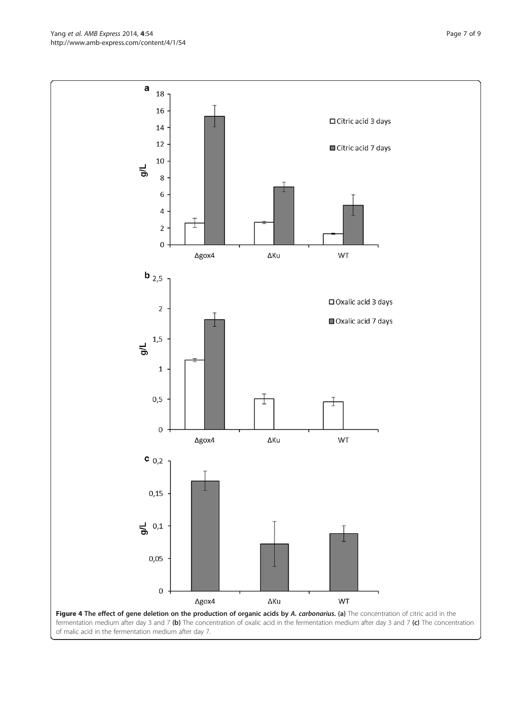<span id="page-6-0"></span>Yang et al. AMB Express 2014, 4:54 Page 7 of 9 http://www.amb-express.com/content/4/1/54



of malic acid in the fermentation medium after day 7.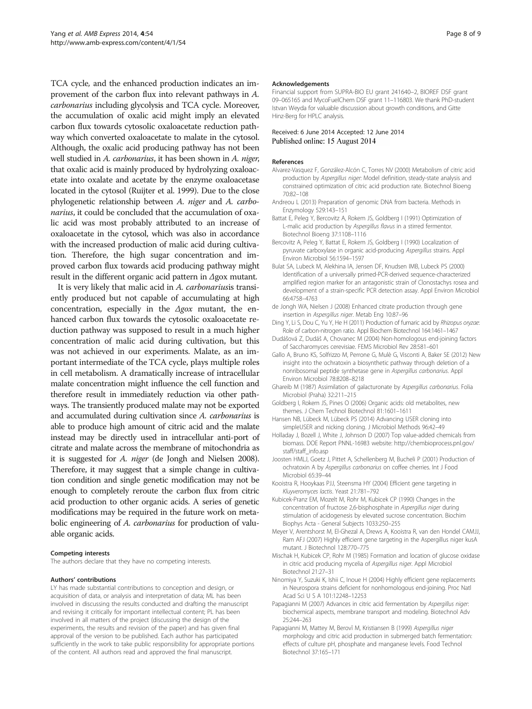<span id="page-7-0"></span>TCA cycle, and the enhanced production indicates an improvement of the carbon flux into relevant pathways in A. carbonarius including glycolysis and TCA cycle. Moreover, the accumulation of oxalic acid might imply an elevated carbon flux towards cytosolic oxaloacetate reduction pathway which converted oxaloacetate to malate in the cytosol. Although, the oxalic acid producing pathway has not been well studied in A. carbonarius, it has been shown in A. niger, that oxalic acid is mainly produced by hydrolyzing oxaloacetate into oxalate and acetate by the enzyme oxaloacetase located in the cytosol (Ruijter et al. [1999](#page-8-0)). Due to the close phylogenetic relationship between A. niger and A. carbonarius, it could be concluded that the accumulation of oxalic acid was most probably attributed to an increase of oxaloacetate in the cytosol, which was also in accordance with the increased production of malic acid during cultivation. Therefore, the high sugar concentration and improved carbon flux towards acid producing pathway might result in the different organic acid pattern in Δgox mutant.

It is very likely that malic acid in A. carbonariusis transiently produced but not capable of accumulating at high concentration, especially in the  $\Delta g \alpha x$  mutant, the enhanced carbon flux towards the cytosolic oxaloacetate reduction pathway was supposed to result in a much higher concentration of malic acid during cultivation, but this was not achieved in our experiments. Malate, as an important intermediate of the TCA cycle, plays multiple roles in cell metabolism. A dramatically increase of intracellular malate concentration might influence the cell function and therefore result in immediately reduction via other pathways. The transiently produced malate may not be exported and accumulated during cultivation since A. carbonarius is able to produce high amount of citric acid and the malate instead may be directly used in intracellular anti-port of citrate and malate across the membrane of mitochondria as it is suggested for A. niger (de Jongh and Nielsen 2008). Therefore, it may suggest that a simple change in cultivation condition and single genetic modification may not be enough to completely reroute the carbon flux from citric acid production to other organic acids. A series of genetic modifications may be required in the future work on metabolic engineering of A. carbonarius for production of valuable organic acids.

#### Competing interests

The authors declare that they have no competing interests.

#### Authors' contributions

LY has made substantial contributions to conception and design, or acquisition of data, or analysis and interpretation of data; ML has been involved in discussing the results conducted and drafting the manuscript and revising it critically for important intellectual content; PL has been involved in all matters of the project (discussing the design of the experiments, the results and revision of the paper) and has given final approval of the version to be published. Each author has participated sufficiently in the work to take public responsibility for appropriate portions of the content. All authors read and approved the final manuscript.

#### Acknowledgements

Financial support from SUPRA-BIO EU grant 241640–2, BIOREF DSF grant 09–065165 and MycoFuelChem DSF grant 11–116803. We thank PhD-student Istvan Weyda for valuable discussion about growth conditions, and Gitte Hinz-Berg for HPLC analysis.

#### Received: 6 June 2014 Accepted: 12 June 2014 Published online: 15 August 2014

#### References

- Alvarez-Vasquez F, González-Alcón C, Torres NV (2000) Metabolism of citric acid production by Aspergillus niger: Model definition, steady-state analysis and constrained optimization of citric acid production rate. Biotechnol Bioeng 70:82–108
- Andreou L (2013) Preparation of genomic DNA from bacteria. Methods in Enzymology 529:143–151
- Battat E, Peleg Y, Bercovitz A, Rokem JS, Goldberg I (1991) Optimization of L-malic acid production by Aspergillus flavus in a stirred fermentor. Biotechnol Bioeng 37:1108–1116
- Bercovitz A, Peleg Y, Battat E, Rokem JS, Goldberg I (1990) Localization of pyruvate carboxylase in organic acid-producing Aspergillus strains. Appl Environ Microbiol 56:1594–1597
- Bulat SA, Lubeck M, Alekhina IA, Jensen DF, Knudsen IMB, Lubeck PS (2000) Identification of a universally primed-PCR-derived sequence-characterized amplified region marker for an antagonistic strain of Clonostachys rosea and development of a strain-specific PCR detection assay. Appl Environ Microbiol 66:4758–4763
- de Jongh WA, Nielsen J (2008) Enhanced citrate production through gene insertion in Aspergillus niger. Metab Eng 10:87–<sup>96</sup>
- Ding Y, Li S, Dou C, Yu Y, He H (2011) Production of fumaric acid by Rhizopus oryzae: Role of carbon-nitrogen ratio. Appl Biochem Biotechnol 164:1461–1467
- Dudášová Z, Dudáš A, Chovanec M (2004) Non-homologous end-joining factors of Saccharomyces cerevisiae. FEMS Microbiol Rev 28:581–601
- Gallo A, Bruno KS, Solfrizzo M, Perrone G, Mulè G, Visconti A, Baker SE (2012) New insight into the ochratoxin a biosynthetic pathway through deletion of a nonribosomal peptide synthetase gene in Aspergillus carbonarius. Appl Environ Microbiol 78:8208–8218
- Ghareib M (1987) Assimilation of galacturonate by Aspergillus carbonarius. Folia Microbiol (Praha) 32:211–215
- Goldberg I, Rokem JS, Pines O (2006) Organic acids: old metabolites, new themes. J Chem Technol Biotechnol 81:1601–1611
- Hansen NB, Lübeck M, Lübeck PS (2014) Advancing USER cloning into simpleUSER and nicking cloning. J Microbiol Methods 96:42–49
- Holladay J, Bozell J, White J, Johnson D (2007) Top value-added chemicals from biomass. DOE Report PNNL-16983 website: [http://chembioprocess.pnl.gov/](http://chembioprocess.pnl.gov/staff/staff_info.asp) [staff/staff\\_info.asp](http://chembioprocess.pnl.gov/staff/staff_info.asp)
- Joosten HMLJ, Goetz J, Pittet A, Schellenberg M, Bucheli P (2001) Production of ochratoxin A by Aspergillus carbonarius on coffee cherries. Int J Food Microbiol 65:39–44
- Kooistra R, Hooykaas PJJ, Steensma HY (2004) Efficient gene targeting in Kluyveromyces lactis. Yeast 21:781–<sup>792</sup>
- Kubicek-Pranz EM, Mozelt M, Rohr M, Kubicek CP (1990) Changes in the concentration of fructose 2,6-bisphosphate in Aspergillus niger during stimulation of acidogenesis by elevated sucrose concentration. Biochim Biophys Acta - General Subjects 1033:250–255
- Meyer V, Arentshorst M, El-Ghezal A, Drews A, Kooistra R, van den Hondel CAMJJ, Ram AFJ (2007) Highly efficient gene targeting in the Aspergillus niger kusA mutant. J Biotechnol 128:770–775
- Mischak H, Kubicek CP, Rohr M (1985) Formation and location of glucose oxidase in citric acid producing mycelia of Aspergillus niger. Appl Microbiol Biotechnol 21:27–31
- Ninomiya Y, Suzuki K, Ishii C, Inoue H (2004) Highly efficient gene replacements in Neurospora strains deficient for nonhomologous end-joining. Proc Natl Acad Sci U S A 101:12248–12253
- Papagianni M (2007) Advances in citric acid fermentation by Aspergillus niger: biochemical aspects, membrane transport and modeling. Biotechnol Adv 25:244–263
- Papagianni M, Mattey M, Berov<sup>ǐ</sup> M, Kristiansen B (1999) Aspergillus niger morphology and citric acid production in submerged batch fermentation: effects of culture pH, phosphate and manganese levels. Food Technol Biotechnol 37:165–171